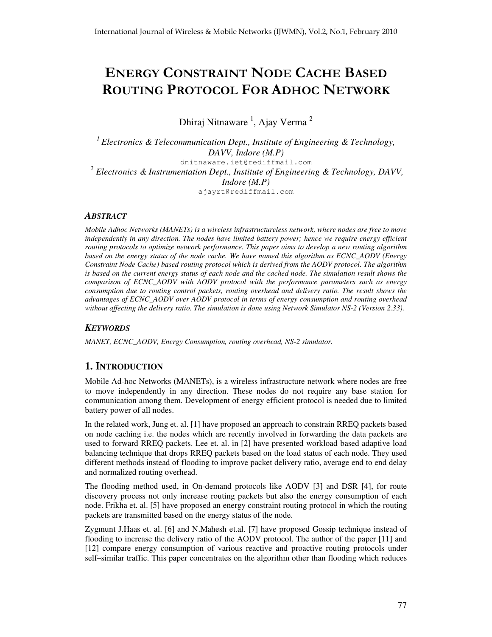# ENERGY CONSTRAINT NODE CACHE BASED ROUTING PROTOCOL FOR ADHOC NETWORK

Dhiraj Nitnaware<sup>1</sup>, Ajay Verma<sup>2</sup>

*<sup>1</sup> Electronics & Telecommunication Dept., Institute of Engineering & Technology, DAVV, Indore (M.P)* dnitnaware.iet@rediffmail.com *<sup>2</sup> Electronics & Instrumentation Dept., Institute of Engineering & Technology, DAVV, Indore (M.P)* ajayrt@rediffmail.com

### *ABSTRACT*

*Mobile Adhoc Networks (MANETs) is a wireless infrastructureless network, where nodes are free to move independently in any direction. The nodes have limited battery power; hence we require energy efficient routing protocols to optimize network performance. This paper aims to develop a new routing algorithm based on the energy status of the node cache. We have named this algorithm as ECNC\_AODV (Energy Constraint Node Cache) based routing protocol which is derived from the AODV protocol. The algorithm* is based on the current energy status of each node and the cached node. The simulation result shows the *comparison of ECNC\_AODV with AODV protocol with the performance parameters such as energy consumption due to routing control packets, routing overhead and delivery ratio. The result shows the advantages of ECNC\_AODV over AODV protocol in terms of energy consumption and routing overhead without affecting the delivery ratio. The simulation is done using Network Simulator NS-2 (Version 2.33).*

# *KEYWORDS*

*MANET, ECNC\_AODV, Energy Consumption, routing overhead, NS-2 simulator.*

# **1. INTRODUCTION**

Mobile Ad-hoc Networks (MANETs), is a wireless infrastructure network where nodes are free to move independently in any direction. These nodes do not require any base station for communication among them. Development of energy efficient protocol is needed due to limited battery power of all nodes.

In the related work, Jung et. al. [1] have proposed an approach to constrain RREQ packets based on node caching i.e. the nodes which are recently involved in forwarding the data packets are used to forward RREQ packets. Lee et. al. in [2] have presented workload based adaptive load balancing technique that drops RREQ packets based on the load status of each node. They used different methods instead of flooding to improve packet delivery ratio, average end to end delay and normalized routing overhead.

The flooding method used, in On-demand protocols like AODV [3] and DSR [4], for route discovery process not only increase routing packets but also the energy consumption of each node. Frikha et. al. [5] have proposed an energy constraint routing protocol in which the routing packets are transmitted based on the energy status of the node.

Zygmunt J.Haas et. al. [6] and N.Mahesh et.al. [7] have proposed Gossip technique instead of flooding to increase the delivery ratio of the AODV protocol. The author of the paper [11] and [12] compare energy consumption of various reactive and proactive routing protocols under self–similar traffic. This paper concentrates on the algorithm other than flooding which reduces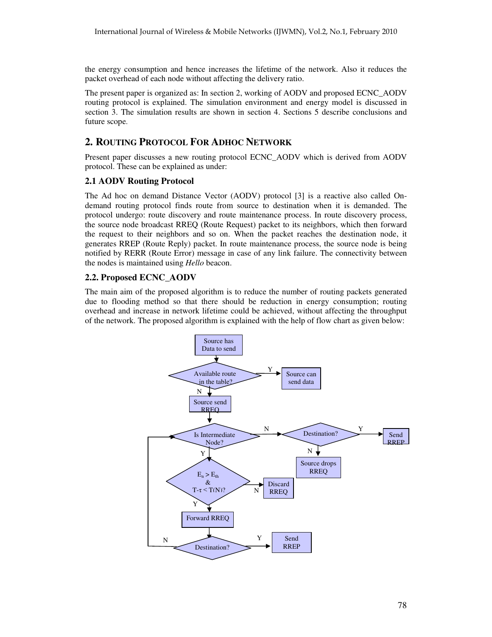the energy consumption and hence increases the lifetime of the network. Also it reduces the packet overhead of each node without affecting the delivery ratio.

The present paper is organized as: In section 2, working of AODV and proposed ECNC\_AODV routing protocol is explained. The simulation environment and energy model is discussed in section 3. The simulation results are shown in section 4. Sections 5 describe conclusions and future scope.

# **2. ROUTING PROTOCOL FOR ADHOC NETWORK**

Present paper discusses a new routing protocol ECNC\_AODV which is derived from AODV protocol. These can be explained as under:

# **2.1 AODV Routing Protocol**

The Ad hoc on demand Distance Vector (AODV) protocol [3] is a reactive also called Ondemand routing protocol finds route from source to destination when it is demanded. The protocol undergo: route discovery and route maintenance process. In route discovery process, the source node broadcast RREQ (Route Request) packet to its neighbors, which then forward the request to their neighbors and so on. When the packet reaches the destination node, it generates RREP (Route Reply) packet. In route maintenance process, the source node is being notified by RERR (Route Error) message in case of any link failure. The connectivity between the nodes is maintained using *Hello* beacon.

# **2.2. Proposed ECNC\_AODV**

The main aim of the proposed algorithm is to reduce the number of routing packets generated due to flooding method so that there should be reduction in energy consumption; routing overhead and increase in network lifetime could be achieved, without affecting the throughput of the network. The proposed algorithm is explained with the help of flow chart as given below:

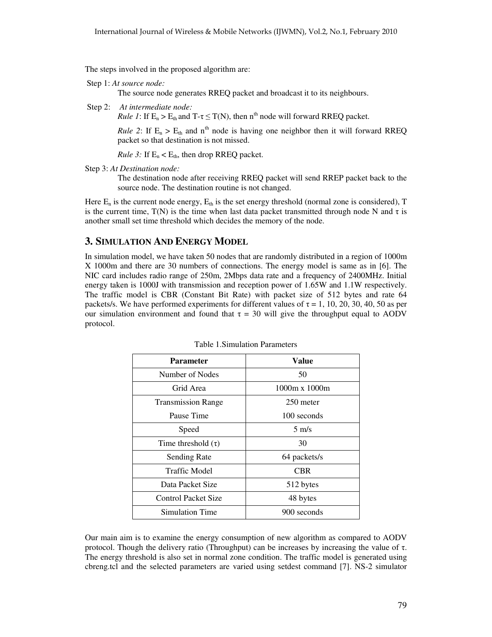The steps involved in the proposed algorithm are:

```
Step 1: At source node:
```
The source node generates RREQ packet and broadcast it to its neighbours.

Step 2: *At intermediate node:*

*Rule* 1: If  $E_n > E_{th}$  and  $T - \tau \leq T(N)$ , then  $n^{th}$  node will forward RREQ packet.

*Rule* 2: If  $E_n > E_{th}$  and  $n^{th}$  node is having one neighbor then it will forward RREQ packet so that destination is not missed.

*Rule* 3: If  $E_n < E_{th}$ , then drop RREQ packet.

Step 3: *At Destination node:*

The destination node after receiving RREQ packet will send RREP packet back to the source node. The destination routine is not changed.

Here  $E_n$  is the current node energy,  $E_{th}$  is the set energy threshold (normal zone is considered), T is the current time,  $T(N)$  is the time when last data packet transmitted through node N and  $\tau$  is another small set time threshold which decides the memory of the node.

# **3. SIMULATION AND ENERGY MODEL**

In simulation model, we have taken 50 nodes that are randomly distributed in a region of 1000m X 1000m and there are 30 numbers of connections. The energy model is same as in [6]. The NIC card includes radio range of 250m, 2Mbps data rate and a frequency of 2400MHz. Initial energy taken is 1000J with transmission and reception power of 1.65W and 1.1W respectively. The traffic model is CBR (Constant Bit Rate) with packet size of 512 bytes and rate 64 packets/s. We have performed experiments for different values of  $\tau = 1$ , 10, 20, 30, 40, 50 as per our simulation environment and found that  $\tau = 30$  will give the throughput equal to AODV protocol.

| Parameter                  | Value                |
|----------------------------|----------------------|
| Number of Nodes            | 50                   |
| Grid Area                  | $1000m \times 1000m$ |
| <b>Transmission Range</b>  | 250 meter            |
| Pause Time                 | 100 seconds          |
| Speed                      | $5 \text{ m/s}$      |
| Time threshold $(\tau)$    | 30                   |
| <b>Sending Rate</b>        | 64 packets/s         |
| Traffic Model              | <b>CBR</b>           |
| Data Packet Size           | 512 bytes            |
| <b>Control Packet Size</b> | 48 bytes             |
| <b>Simulation Time</b>     | 900 seconds          |

Table 1.Simulation Parameters

Our main aim is to examine the energy consumption of new algorithm as compared to AODV protocol. Though the delivery ratio (Throughput) can be increases by increasing the value of  $\tau$ . The energy threshold is also set in normal zone condition. The traffic model is generated using cbreng.tcl and the selected parameters are varied using setdest command [7]. NS-2 simulator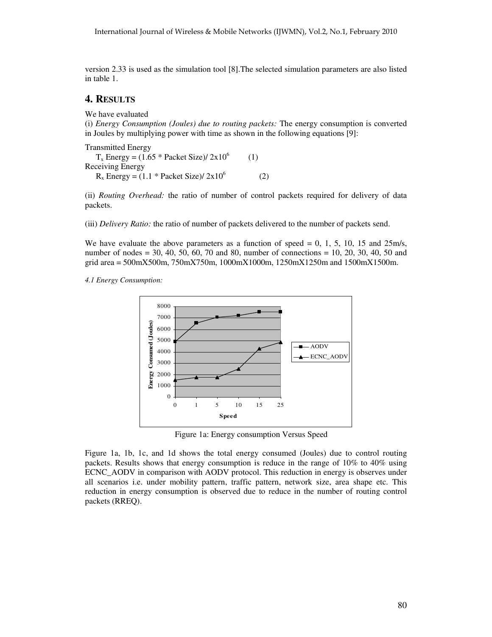version 2.33 is used as the simulation tool [8].The selected simulation parameters are also listed in table 1.

# **4. RESULTS**

We have evaluated

(i) *Energy Consumption (Joules) due to routing packets:* The energy consumption is converted in Joules by multiplying power with time as shown in the following equations [9]:

Transmitted Energy  $T_x$  Energy = (1.65 \* Packet Size)/ 2x10<sup>6</sup> (1) Receiving Energy  $R_x$  Energy = (1.1 \* Packet Size)/ 2x10<sup>6</sup> (2)

(ii) *Routing Overhead:* the ratio of number of control packets required for delivery of data packets.

(iii) *Delivery Ratio:* the ratio of number of packets delivered to the number of packets send.

We have evaluate the above parameters as a function of speed  $= 0, 1, 5, 10, 15$  and  $25 \text{m/s}$ , number of nodes = 30, 40, 50, 60, 70 and 80, number of connections = 10, 20, 30, 40, 50 and grid area = 500mX500m, 750mX750m, 1000mX1000m, 1250mX1250m and 1500mX1500m.

*4.1 Energy Consumption:*



Figure 1a: Energy consumption Versus Speed

Figure 1a, 1b, 1c, and 1d shows the total energy consumed (Joules) due to control routing packets. Results shows that energy consumption is reduce in the range of 10% to 40% using ECNC\_AODV in comparison with AODV protocol. This reduction in energy is observes under all scenarios i.e. under mobility pattern, traffic pattern, network size, area shape etc. This reduction in energy consumption is observed due to reduce in the number of routing control packets (RREQ).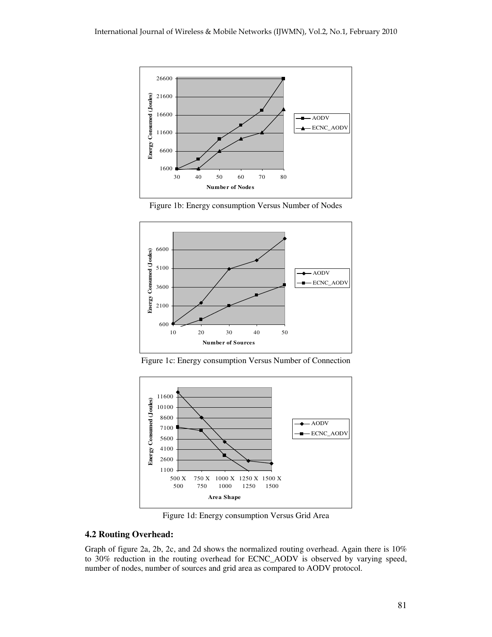

Figure 1b: Energy consumption Versus Number of Nodes



Figure 1c: Energy consumption Versus Number of Connection



Figure 1d: Energy consumption Versus Grid Area

#### **4.2 Routing Overhead:**

Graph of figure 2a, 2b, 2c, and 2d shows the normalized routing overhead. Again there is 10% to 30% reduction in the routing overhead for ECNC\_AODV is observed by varying speed, number of nodes, number of sources and grid area as compared to AODV protocol.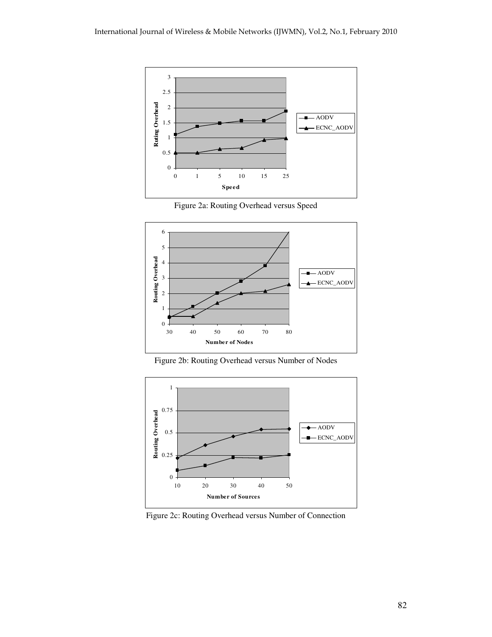

Figure 2a: Routing Overhead versus Speed



Figure 2b: Routing Overhead versus Number of Nodes



Figure 2c: Routing Overhead versus Number of Connection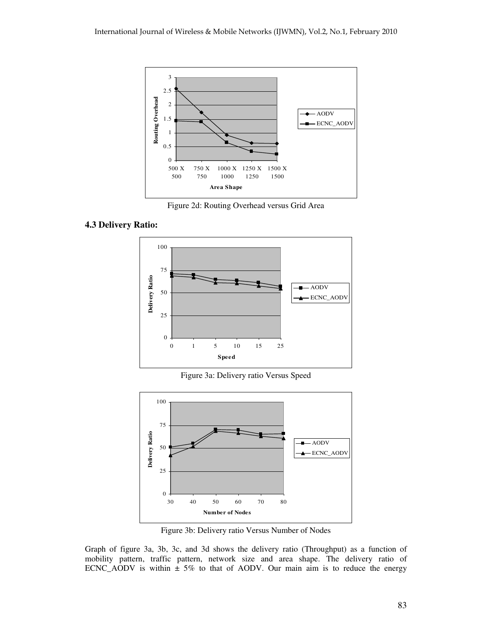

Figure 2d: Routing Overhead versus Grid Area

## **4.3 Delivery Ratio:**



Figure 3a: Delivery ratio Versus Speed



Figure 3b: Delivery ratio Versus Number of Nodes

Graph of figure 3a, 3b, 3c, and 3d shows the delivery ratio (Throughput) as a function of mobility pattern, traffic pattern, network size and area shape. The delivery ratio of ECNC\_AODV is within  $\pm$  5% to that of AODV. Our main aim is to reduce the energy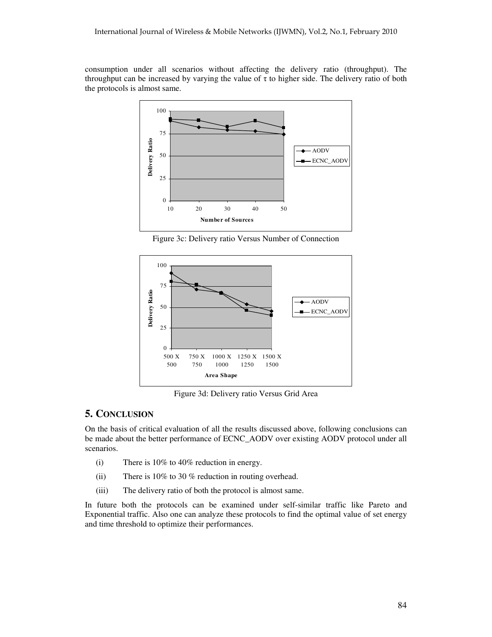consumption under all scenarios without affecting the delivery ratio (throughput). The throughput can be increased by varying the value of  $\tau$  to higher side. The delivery ratio of both the protocols is almost same.



Figure 3c: Delivery ratio Versus Number of Connection



Figure 3d: Delivery ratio Versus Grid Area

## **5. CONCLUSION**

On the basis of critical evaluation of all the results discussed above, following conclusions can be made about the better performance of ECNC\_AODV over existing AODV protocol under all scenarios.

- (i) There is 10% to 40% reduction in energy.
- (ii) There is 10% to 30 % reduction in routing overhead.
- (iii) The delivery ratio of both the protocol is almost same.

In future both the protocols can be examined under self-similar traffic like Pareto and Exponential traffic. Also one can analyze these protocols to find the optimal value of set energy and time threshold to optimize their performances.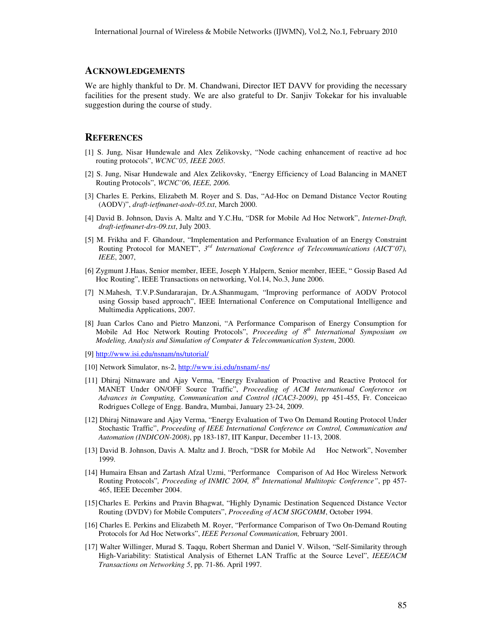#### **ACKNOWLEDGEMENTS**

We are highly thankful to Dr. M. Chandwani, Director IET DAVV for providing the necessary facilities for the present study. We are also grateful to Dr. Sanjiv Tokekar for his invaluable suggestion during the course of study.

#### **REFERENCES**

- [1] S. Jung, Nisar Hundewale and Alex Zelikovsky, "Node caching enhancement of reactive ad hoc routing protocols", *WCNC'05, IEEE 2005.*
- [2] S. Jung, Nisar Hundewale and Alex Zelikovsky, "Energy Efficiency of Load Balancing in MANET Routing Protocols", *WCNC'06, IEEE, 2006.*
- [3] Charles E. Perkins, Elizabeth M. Royer and S. Das, "Ad-Hoc on Demand Distance Vector Routing (AODV)", *draft-ietfmanet-aodv-05.txt*, March 2000.
- [4] David B. Johnson, Davis A. Maltz and Y.C.Hu, "DSR for Mobile Ad Hoc Network", *Internet-Draft, draft-ietfmanet-drs-09.txt*, July 2003.
- [5] M. Frikha and F. Ghandour, "Implementation and Performance Evaluation of an Energy Constraint Routing Protocol for MANET", *3 rd International Conference of Telecommunications (AICT'07), IEEE*, 2007,
- [6] Zygmunt J.Haas, Senior member, IEEE, Joseph Y.Halpern, Senior member, IEEE, " Gossip Based Ad Hoc Routing", IEEE Transactions on networking, Vol.14, No.3, June 2006.
- [7] N.Mahesh, T.V.P.Sundararajan, Dr.A.Shanmugam, "Improving performance of AODV Protocol using Gossip based approach", IEEE International Conference on Computational Intelligence and Multimedia Applications, 2007.
- [8] Juan Carlos Cano and Pietro Manzoni, "A Performance Comparison of Energy Consumption for Mobile Ad Hoc Network Routing Protocols", *Proceeding of 8 th International Symposium on Modeling, Analysis and Simulation of Computer & Telecommunication System*, 2000.
- [9] http://www.isi.edu/nsnam/ns/tutorial/
- [10] Network Simulator, ns-2, http://www.isi.edu/nsnam/-ns/
- [11] Dhiraj Nitnaware and Ajay Verma, "Energy Evaluation of Proactive and Reactive Protocol for MANET Under ON/OFF Source Traffic", *Proceeding of ACM International Conference on Advances in Computing, Communication and Control (ICAC3-2009)*, pp 451-455, Fr. Conceicao Rodrigues College of Engg. Bandra, Mumbai, January 23-24, 2009.
- [12] Dhiraj Nitnaware and Ajay Verma, "Energy Evaluation of Two On Demand Routing Protocol Under Stochastic Traffic", *Proceeding of IEEE International Conference on Control, Communication and Automation (INDICON-2008)*, pp 183-187, IIT Kanpur, December 11-13, 2008.
- [13] David B. Johnson, Davis A. Maltz and J. Broch, "DSR for Mobile Ad Hoc Network", November 1999.
- [14] Humaira Ehsan and Zartash Afzal Uzmi, "Performance Comparison of Ad Hoc Wireless Network Routing Protocols"*, Proceeding of INMIC 2004, 8 th International Multitopic Conference"*, pp 457- 465, IEEE December 2004.
- [15]Charles E. Perkins and Pravin Bhagwat, "Highly Dynamic Destination Sequenced Distance Vector Routing (DVDV) for Mobile Computers", *Proceeding of ACM SIGCOMM*, October 1994.
- [16] Charles E. Perkins and Elizabeth M. Royer, "Performance Comparison of Two On-Demand Routing Protocols for Ad Hoc Networks", *IEEE Personal Communication,* February 2001.
- [17] Walter Willinger, Murad S. Taqqu, Robert Sherman and Daniel V. Wilson, "Self-Similarity through High-Variability: Statistical Analysis of Ethernet LAN Traffic at the Source Level", *IEEE/ACM Transactions on Networking 5*, pp. 71-86. April 1997.